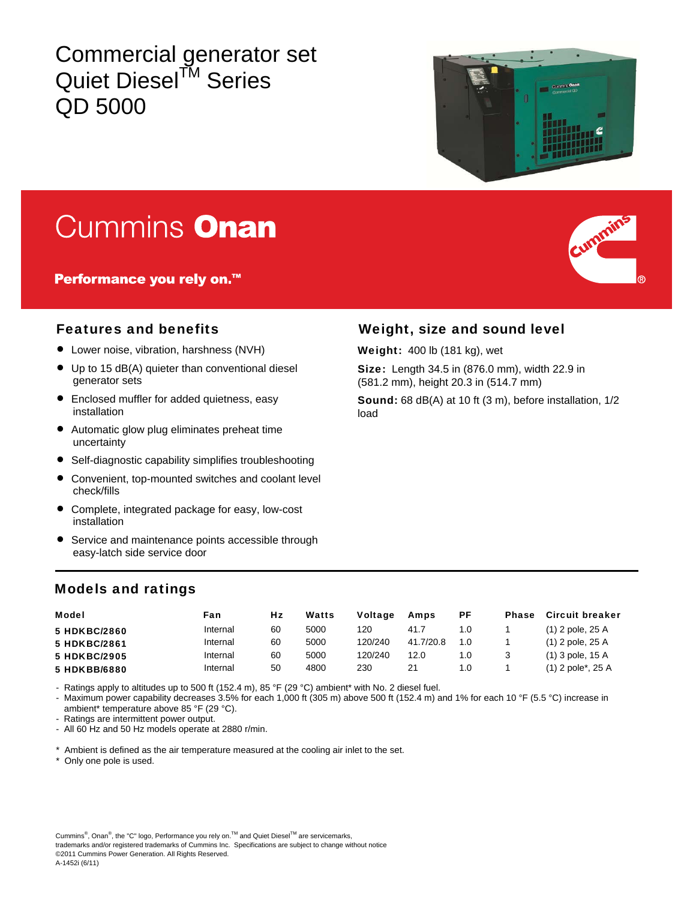## Commercial generator set Quiet Diesel<sup>™</sup> Series QD 5000



# Cummins Onan

Performance you rely on.<sup>™</sup>



- Lower noise, vibration, harshness (NVH)
- Up to 15 dB(A) quieter than conventional diesel generator sets
- Enclosed muffler for added quietness, easy installation
- Automatic glow plug eliminates preheat time uncertainty
- Self-diagnostic capability simplifies troubleshooting
- Convenient, top-mounted switches and coolant level check/fills
- Complete, integrated package for easy, low-cost installation
- Service and maintenance points accessible through easy-latch side service door

### Features and benefits Weight, size and sound level

Weight: 400 lb (181 kg), wet

Size: Length 34.5 in (876.0 mm), width 22.9 in (581.2 mm), height 20.3 in (514.7 mm)

Sound: 68 dB(A) at 10 ft (3 m), before installation, 1/2 load

#### Models and ratings

| <b>Model</b> | Fan      | Hz | Watts | <b>Voltage</b> | Amps      | РF  | <b>Phase</b> | <b>Circuit breaker</b>           |
|--------------|----------|----|-------|----------------|-----------|-----|--------------|----------------------------------|
| 5 HDKBC/2860 | Internal | 60 | 5000  | 120            | 41.7      | 1.0 |              | $(1)$ 2 pole, 25 A               |
| 5 HDKBC/2861 | Internal | 60 | 5000  | 120/240        | 41.7/20.8 | 1.0 |              | $(1)$ 2 pole, 25 A               |
| 5 HDKBC/2905 | Internal | 60 | 5000  | 120/240        | 12.0      | 1.0 |              | $(1)$ 3 pole, 15 A               |
| 5 HDKBB/6880 | Internal | 50 | 4800  | 230            | 21        | 1.0 |              | $(1)$ 2 pole <sup>*</sup> , 25 A |

- Ratings apply to altitudes up to 500 ft (152.4 m), 85 °F (29 °C) ambient\* with No. 2 diesel fuel.

- Maximum power capability decreases 3.5% for each 1,000 ft (305 m) above 500 ft (152.4 m) and 1% for each 10 °F (5.5 °C) increase in ambient\* temperature above 85 °F (29 °C).

- Ratings are intermittent power output.

- All 60 Hz and 50 Hz models operate at 2880 r/min.

Ambient is defined as the air temperature measured at the cooling air inlet to the set.

Only one pole is used.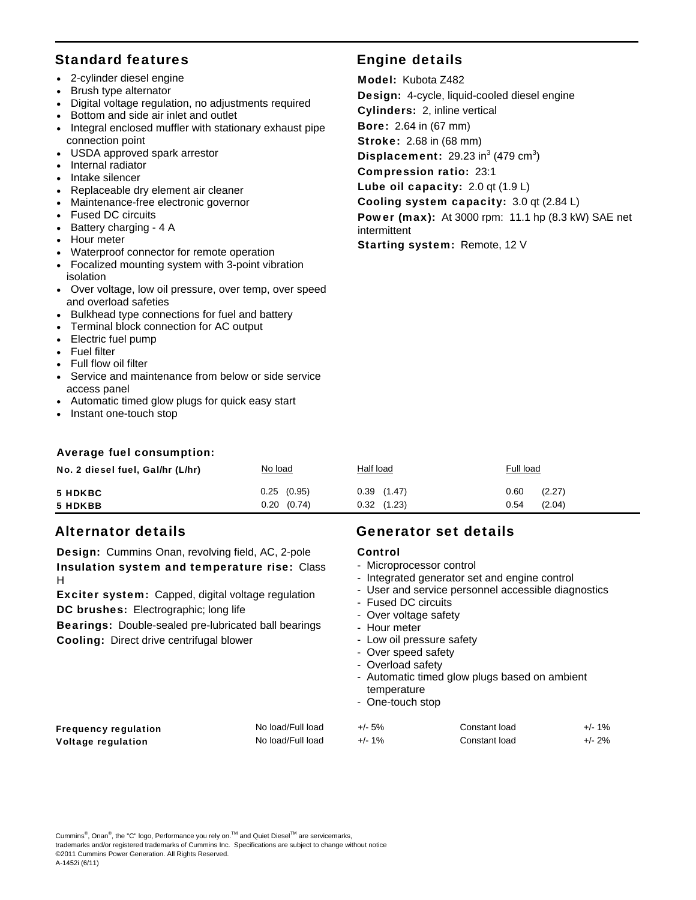#### Standard features **Engine details**

- 2-cylinder diesel engine
- Brush type alternator
- Digital voltage regulation, no adjustments required
- Bottom and side air inlet and outlet
- Integral enclosed muffler with stationary exhaust pipe connection point
- USDA approved spark arrestor
- Internal radiator
- Intake silencer
- Replaceable dry element air cleaner
- Maintenance-free electronic governor
- Fused DC circuits
- $\bullet$  Battery charging 4 A
- Hour meter
- Waterproof connector for remote operation
- Focalized mounting system with 3-point vibration isolation
- Over voltage, low oil pressure, over temp, over speed and overload safeties
- Bulkhead type connections for fuel and battery
- Terminal block connection for AC output
- Electric fuel pump
- Fuel filter
- Full flow oil filter
- Service and maintenance from below or side service access panel
- Automatic timed glow plugs for quick easy start
- Instant one-touch stop

#### Average fuel consumption:

| No. 2 diesel fuel, Gal/hr (L/hr) | No load                       | <b>Half load</b>                   | <b>Full load</b>                 |
|----------------------------------|-------------------------------|------------------------------------|----------------------------------|
| <b>5 HDKBC</b><br>5 HDKBB        | $0.25$ $(0.95)$<br>0.20(0.74) | $0.39$ $(1.47)$<br>$0.32$ $(1.23)$ | (2.27)<br>0.60<br>(2.04)<br>0.54 |

Design: Cummins Onan, revolving field, AC, 2-pole Insulation system and temperature rise: Class H

Exciter system: Capped, digital voltage regulation DC brushes: Electrographic; long life

Bearings: Double-sealed pre-lubricated ball bearings Cooling: Direct drive centrifugal blower

#### Alternator details Generator set details

#### Control

- Microprocessor control

Model: Kubota Z482

Cylinders: 2, inline vertical Bore: 2.64 in (67 mm) Stroke: 2.68 in (68 mm)

Compression ratio: 23:1

intermittent

Design: 4-cycle, liquid-cooled diesel engine

Cooling system capacity: 3.0 qt (2.84 L)

Power (max): At 3000 rpm: 11.1 hp (8.3 kW) SAE net

**Displacement:** 29.23 in<sup>3</sup> (479 cm<sup>3</sup>)

Lube oil capacity: 2.0 qt (1.9 L)

Starting system: Remote, 12 V

- Integrated generator set and engine control
- User and service personnel accessible diagnostics
- Fused DC circuits
- Over voltage safety
- Hour meter
- Low oil pressure safety
- Over speed safety
- Overload safety
- Automatic timed glow plugs based on ambient temperature
- One-touch stop

| No load/Full load | +/- 5%    | Constant load | $+/- 1\%$ |
|-------------------|-----------|---------------|-----------|
| No load/Full load | $+/- 1\%$ | Constant load | $+/- 2\%$ |

Voltage regulation

Frequency requlation

Cummins<sup>®</sup>, Onan<sup>®</sup>, the "C" logo, Performance you rely on.<sup>™</sup> and Quiet Diesel<sup>™</sup> are servicemarks, trademarks and/or registered trademarks of Cummins Inc. Specifications are subject to change without notice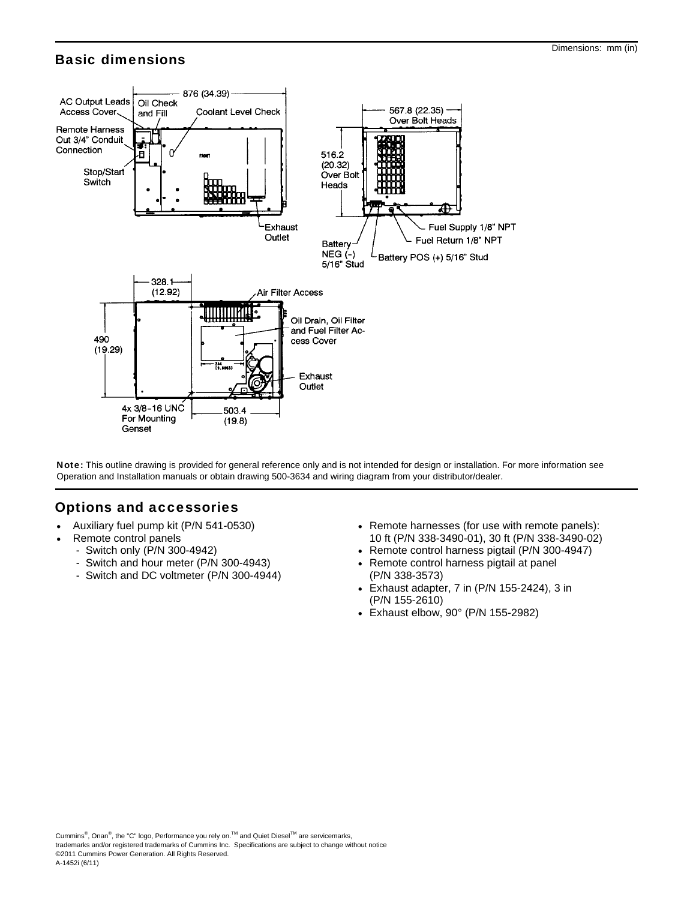#### Basic dimensions



Note: This outline drawing is provided for general reference only and is not intended for design or installation. For more information see Operation and Installation manuals or obtain drawing 500-3634 and wiring diagram from your distributor/dealer.

#### Options and accessories

- Auxiliary fuel pump kit (P/N 541-0530)
- Remote control panels
	- Switch only (P/N 300-4942)
	- Switch and hour meter (P/N 300-4943)
	- Switch and DC voltmeter (P/N 300-4944)
- Remote harnesses (for use with remote panels): 10 ft (P/N 338-3490-01), 30 ft (P/N 338-3490-02)
- Remote control harness pigtail (P/N 300-4947)
- Remote control harness pigtail at panel (P/N 338-3573)
- Exhaust adapter, 7 in (P/N 155-2424), 3 in (P/N 155-2610)
- Exhaust elbow, 90° (P/N 155-2982)